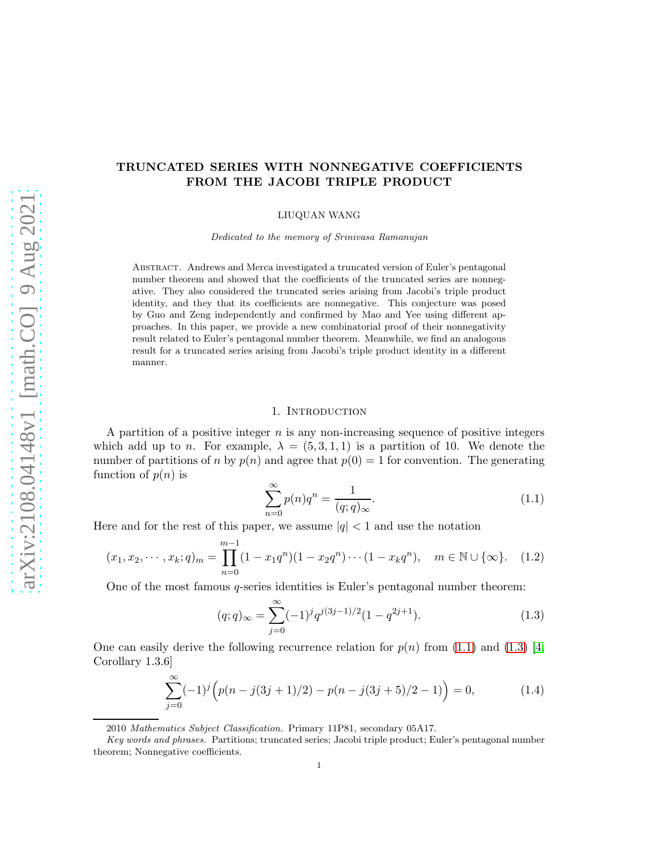# TRUNCATED SERIES WITH NONNEGATIVE COEFFICIENTS FROM THE JACOBI TRIPLE PRODUCT

LIUQUAN WANG

Dedicated to the memory of Srinivasa Ramanujan

Abstract. Andrews and Merca investigated a truncated version of Euler's pentagonal number theorem and showed that the coefficients of the truncated series are nonnegative. They also considered the truncated series arising from Jacobi's triple product identity, and they that its coefficients are nonnegative. This conjecture was posed by Guo and Zeng independently and confirmed by Mao and Yee using different approaches. In this paper, we provide a new combinatorial proof of their nonnegativity result related to Euler's pentagonal number theorem. Meanwhile, we find an analogous result for a truncated series arising from Jacobi's triple product identity in a different manner.

## 1. Introduction

A partition of a positive integer  $n$  is any non-increasing sequence of positive integers which add up to n. For example,  $\lambda = (5, 3, 1, 1)$  is a partition of 10. We denote the number of partitions of n by  $p(n)$  and agree that  $p(0) = 1$  for convention. The generating function of  $p(n)$  is

<span id="page-0-0"></span>
$$
\sum_{n=0}^{\infty} p(n)q^n = \frac{1}{(q;q)_{\infty}}.\tag{1.1}
$$

Here and for the rest of this paper, we assume  $|q| < 1$  and use the notation

$$
(x_1, x_2, \cdots, x_k; q)_m = \prod_{n=0}^{m-1} (1 - x_1 q^n)(1 - x_2 q^n) \cdots (1 - x_k q^n), \quad m \in \mathbb{N} \cup \{\infty\}. \tag{1.2}
$$

One of the most famous q-series identities is Euler's pentagonal number theorem:

<span id="page-0-1"></span>
$$
(q;q)_{\infty} = \sum_{j=0}^{\infty} (-1)^j q^{j(3j-1)/2} (1 - q^{2j+1}).
$$
\n(1.3)

One can easily derive the following recurrence relation for  $p(n)$  from [\(1.1\)](#page-0-0) and [\(1.3\)](#page-0-1) [\[4,](#page-10-0) Corollary 1.3.6]

<span id="page-0-2"></span>
$$
\sum_{j=0}^{\infty} (-1)^j \left( p(n - j(3j + 1)/2) - p(n - j(3j + 5)/2 - 1) \right) = 0,
$$
\n(1.4)

<sup>2010</sup> Mathematics Subject Classification. Primary 11P81, secondary 05A17.

Key words and phrases. Partitions; truncated series; Jacobi triple product; Euler's pentagonal number theorem; Nonnegative coefficients.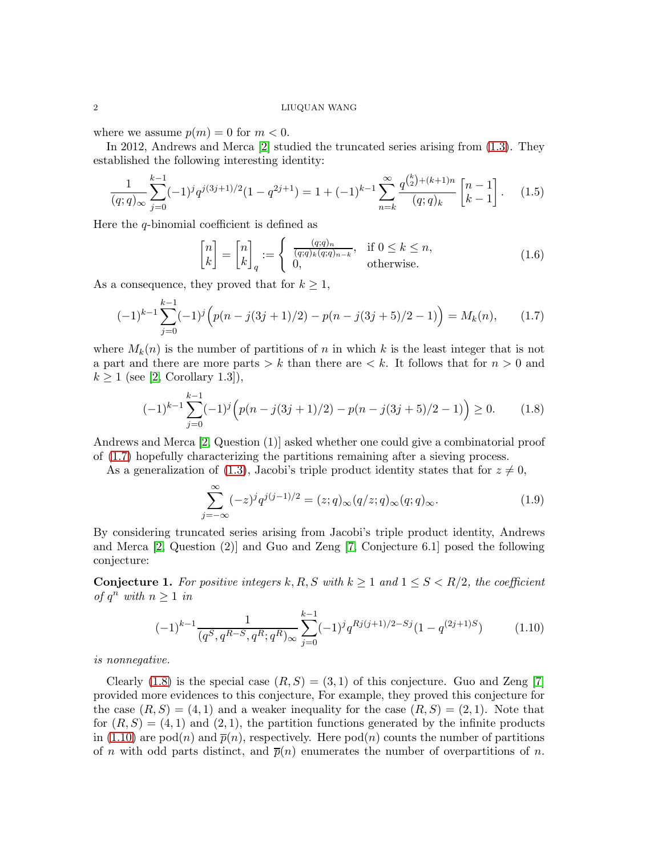#### 2 LIUQUAN WANG

where we assume  $p(m) = 0$  for  $m < 0$ .

In 2012, Andrews and Merca [\[2\]](#page-10-1) studied the truncated series arising from [\(1.3\)](#page-0-1). They established the following interesting identity:

$$
\frac{1}{(q;q)_{\infty}}\sum_{j=0}^{k-1}(-1)^{j}q^{j(3j+1)/2}(1-q^{2j+1}) = 1 + (-1)^{k-1}\sum_{n=k}^{\infty}\frac{q^{\binom{k}{2}+(k+1)n}}{(q;q)_{k}}\begin{bmatrix}n-1\\k-1\end{bmatrix}.
$$
 (1.5)

Here the q-binomial coefficient is defined as

<span id="page-1-3"></span><span id="page-1-0"></span>
$$
\begin{bmatrix} n \\ k \end{bmatrix} = \begin{bmatrix} n \\ k \end{bmatrix}_q := \begin{cases} \frac{(q;q)_n}{(q;q)_k (q;q)_{n-k}}, & \text{if } 0 \le k \le n, \\ 0, & \text{otherwise.} \end{cases}
$$
(1.6)

As a consequence, they proved that for  $k \geq 1$ ,

k−1

$$
(-1)^{k-1} \sum_{j=0}^{k-1} (-1)^j \left( p(n-j(3j+1)/2) - p(n-j(3j+5)/2 - 1) \right) = M_k(n), \qquad (1.7)
$$

where  $M_k(n)$  is the number of partitions of n in which k is the least integer that is not a part and there are more parts  $\geq k$  than there are  $\lt k$ . It follows that for  $n > 0$  and  $k \geq 1$  (see [\[2,](#page-10-1) Corollary 1.3]),

<span id="page-1-1"></span>
$$
(-1)^{k-1} \sum_{j=0}^{k-1} (-1)^j \left( p(n-j(3j+1)/2) - p(n-j(3j+5)/2 - 1) \right) \ge 0.
$$
 (1.8)

Andrews and Merca [\[2,](#page-10-1) Question (1)] asked whether one could give a combinatorial proof of [\(1.7\)](#page-1-0) hopefully characterizing the partitions remaining after a sieving process.

As a generalization of [\(1.3\)](#page-0-1), Jacobi's triple product identity states that for  $z \neq 0$ ,

<span id="page-1-5"></span>
$$
\sum_{j=-\infty}^{\infty} (-z)^j q^{j(j-1)/2} = (z;q)_{\infty}(q/z;q)_{\infty}(q;q)_{\infty}.
$$
\n(1.9)

By considering truncated series arising from Jacobi's triple product identity, Andrews and Merca [\[2,](#page-10-1) Question (2)] and Guo and Zeng [\[7,](#page-10-2) Conjecture 6.1] posed the following conjecture:

<span id="page-1-4"></span>**Conjecture 1.** For positive integers k, R, S with  $k \geq 1$  and  $1 \leq S \leq R/2$ , the coefficient of  $q^n$  with  $n \geq 1$  in

<span id="page-1-2"></span>
$$
(-1)^{k-1} \frac{1}{(q^S, q^{R-S}, q^R; q^R)_{\infty}} \sum_{j=0}^{k-1} (-1)^j q^{Rj(j+1)/2-Sj} (1 - q^{(2j+1)S}) \tag{1.10}
$$

is nonnegative.

Clearly [\(1.8\)](#page-1-1) is the special case  $(R, S) = (3, 1)$  of this conjecture. Guo and Zeng [\[7\]](#page-10-2) provided more evidences to this conjecture, For example, they proved this conjecture for the case  $(R, S) = (4, 1)$  and a weaker inequality for the case  $(R, S) = (2, 1)$ . Note that for  $(R, S) = (4, 1)$  and  $(2, 1)$ , the partition functions generated by the infinite products in [\(1.10\)](#page-1-2) are pod(n) and  $\bar{p}(n)$ , respectively. Here pod(n) counts the number of partitions of n with odd parts distinct, and  $\bar{p}(n)$  enumerates the number of overpartitions of n.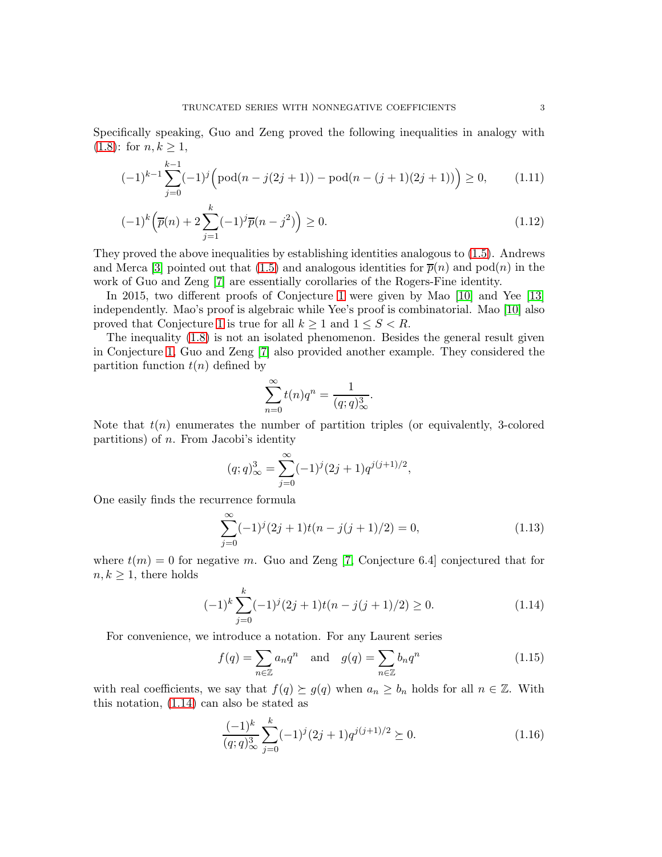Specifically speaking, Guo and Zeng proved the following inequalities in analogy with  $(1.8)$ : for  $n, k \geq 1$ ,

$$
(-1)^{k-1} \sum_{j=0}^{k-1} (-1)^j \left( \text{pod}(n-j(2j+1)) - \text{pod}(n-(j+1)(2j+1)) \right) \ge 0,
$$
 (1.11)

$$
(-1)^{k} \left(\overline{p}(n) + 2\sum_{j=1}^{k} (-1)^{j} \overline{p}(n-j^{2})\right) \ge 0.
$$
\n(1.12)

They proved the above inequalities by establishing identities analogous to [\(1.5\)](#page-1-3). Andrews and Merca [\[3\]](#page-10-3) pointed out that [\(1.5\)](#page-1-3) and analogous identities for  $\bar{p}(n)$  and pod $(n)$  in the work of Guo and Zeng [\[7\]](#page-10-2) are essentially corollaries of the Rogers-Fine identity.

In 2015, two different proofs of Conjecture [1](#page-1-4) were given by Mao [\[10\]](#page-10-4) and Yee [\[13\]](#page-10-5) independently. Mao's proof is algebraic while Yee's proof is combinatorial. Mao [\[10\]](#page-10-4) also proved that Conjecture [1](#page-1-4) is true for all  $k \geq 1$  and  $1 \leq S < R$ .

The inequality [\(1.8\)](#page-1-1) is not an isolated phenomenon. Besides the general result given in Conjecture [1,](#page-1-4) Guo and Zeng [\[7\]](#page-10-2) also provided another example. They considered the partition function  $t(n)$  defined by

<span id="page-2-3"></span><span id="page-2-2"></span>
$$
\sum_{n=0}^{\infty} t(n)q^n = \frac{1}{(q;q)^3_{\infty}}.
$$

Note that  $t(n)$  enumerates the number of partition triples (or equivalently, 3-colored partitions) of n. From Jacobi's identity

$$
(q;q)^3_{\infty} = \sum_{j=0}^{\infty} (-1)^j (2j+1) q^{j(j+1)/2},
$$

One easily finds the recurrence formula

$$
\sum_{j=0}^{\infty} (-1)^j (2j+1)t(n-j(j+1)/2) = 0,
$$
\n(1.13)

where  $t(m) = 0$  for negative m. Guo and Zeng [\[7,](#page-10-2) Conjecture 6.4] conjectured that for  $n, k \geq 1$ , there holds

$$
(-1)^{k} \sum_{j=0}^{k} (-1)^{j} (2j+1)t(n-j(j+1)/2) \ge 0.
$$
 (1.14)

For convenience, we introduce a notation. For any Laurent series

<span id="page-2-0"></span>
$$
f(q) = \sum_{n \in \mathbb{Z}} a_n q^n \quad \text{and} \quad g(q) = \sum_{n \in \mathbb{Z}} b_n q^n \tag{1.15}
$$

with real coefficients, we say that  $f(q) \succeq g(q)$  when  $a_n \geq b_n$  holds for all  $n \in \mathbb{Z}$ . With this notation, [\(1.14\)](#page-2-0) can also be stated as

<span id="page-2-1"></span>
$$
\frac{(-1)^k}{(q;q)_\infty^3} \sum_{j=0}^k (-1)^j (2j+1) q^{j(j+1)/2} \succeq 0.
$$
 (1.16)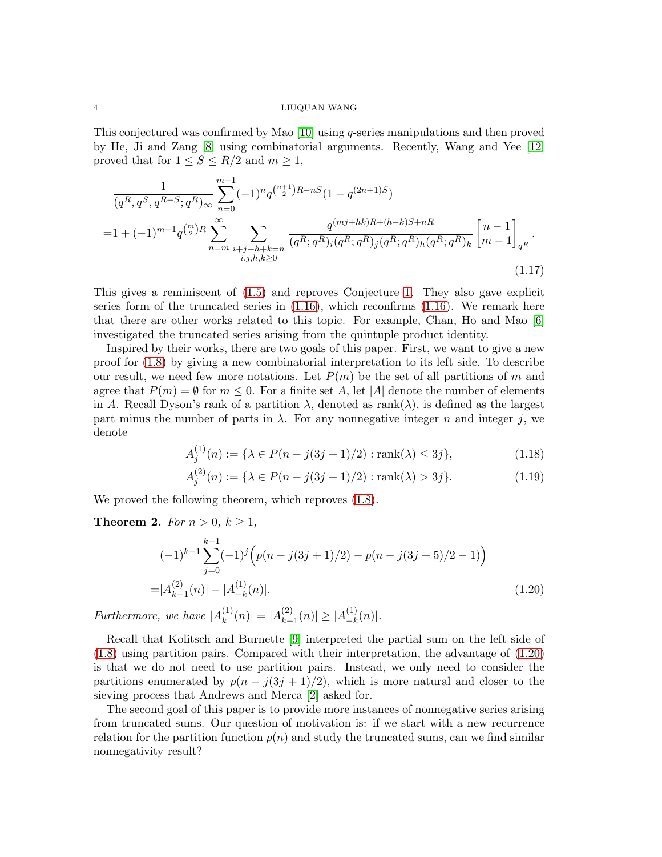#### 4 LIUQUAN WANG

This conjectured was confirmed by Mao [\[10\]](#page-10-4) using q-series manipulations and then proved by He, Ji and Zang [\[8\]](#page-10-6) using combinatorial arguments. Recently, Wang and Yee [\[12\]](#page-10-7) proved that for  $1 \leq S \leq R/2$  and  $m \geq 1$ ,

$$
\frac{1}{(q^R, q^S, q^{R-S}; q^R)_{\infty}} \sum_{n=0}^{m-1} (-1)^n q^{\binom{n+1}{2}R-nS} (1 - q^{(2n+1)S})
$$
\n
$$
= 1 + (-1)^{m-1} q^{\binom{m}{2}R} \sum_{n=m}^{\infty} \sum_{\substack{i+j+h+k=n\\i,j,h,k \ge 0}} \frac{q^{(mj+hk)R+(h-k)S+nR}}{(q^R; q^R)_i (q^R; q^R)_j (q^R; q^R)_h (q^R; q^R)_k} \left[ n-1 \right]_{q^R}.
$$
\n(1.17)

This gives a reminiscent of [\(1.5\)](#page-1-3) and reproves Conjecture [1.](#page-1-4) They also gave explicit series form of the truncated series in  $(1.16)$ , which reconfirms  $(1.16)$ . We remark here that there are other works related to this topic. For example, Chan, Ho and Mao [\[6\]](#page-10-8) investigated the truncated series arising from the quintuple product identity.

Inspired by their works, there are two goals of this paper. First, we want to give a new proof for [\(1.8\)](#page-1-1) by giving a new combinatorial interpretation to its left side. To describe our result, we need few more notations. Let  $P(m)$  be the set of all partitions of m and agree that  $P(m) = \emptyset$  for  $m \leq 0$ . For a finite set A, let |A| denote the number of elements in A. Recall Dyson's rank of a partition  $\lambda$ , denoted as rank $(\lambda)$ , is defined as the largest part minus the number of parts in  $\lambda$ . For any nonnegative integer n and integer j, we denote

<span id="page-3-4"></span><span id="page-3-3"></span><span id="page-3-2"></span>
$$
A_j^{(1)}(n) := \{ \lambda \in P(n - j(3j + 1)/2) : \text{rank}(\lambda) \le 3j \},\tag{1.18}
$$

<span id="page-3-0"></span>
$$
A_j^{(2)}(n) := \{ \lambda \in P(n - j(3j + 1)/2) : \text{rank}(\lambda) > 3j \}. \tag{1.19}
$$

We proved the following theorem, which reproves  $(1.8)$ .

<span id="page-3-1"></span>**Theorem 2.** For  $n > 0, k \ge 1$ ,

$$
(-1)^{k-1} \sum_{j=0}^{k-1} (-1)^j \left( p(n-j(3j+1)/2) - p(n-j(3j+5)/2 - 1) \right)
$$
  
=|A<sub>k-1</sub><sup>(2)</sup>(n)| - |A<sub>-k</sub><sup>(1)</sup>(n)|. (1.20)

Furthermore, we have  $|A_k^{(1)}\rangle$  $\binom{1}{k}(n)| = |A_{k-}^{(2)}|$  $\vert k-1^{(2)}(n)\vert \geq \vert A_{-k}^{(1)}\vert$  $\binom{11}{-k}(n)$ .

Recall that Kolitsch and Burnette [\[9\]](#page-10-9) interpreted the partial sum on the left side of [\(1.8\)](#page-1-1) using partition pairs. Compared with their interpretation, the advantage of [\(1.20\)](#page-3-0) is that we do not need to use partition pairs. Instead, we only need to consider the partitions enumerated by  $p(n - j(3j + 1)/2)$ , which is more natural and closer to the sieving process that Andrews and Merca [\[2\]](#page-10-1) asked for.

The second goal of this paper is to provide more instances of nonnegative series arising from truncated sums. Our question of motivation is: if we start with a new recurrence relation for the partition function  $p(n)$  and study the truncated sums, can we find similar nonnegativity result?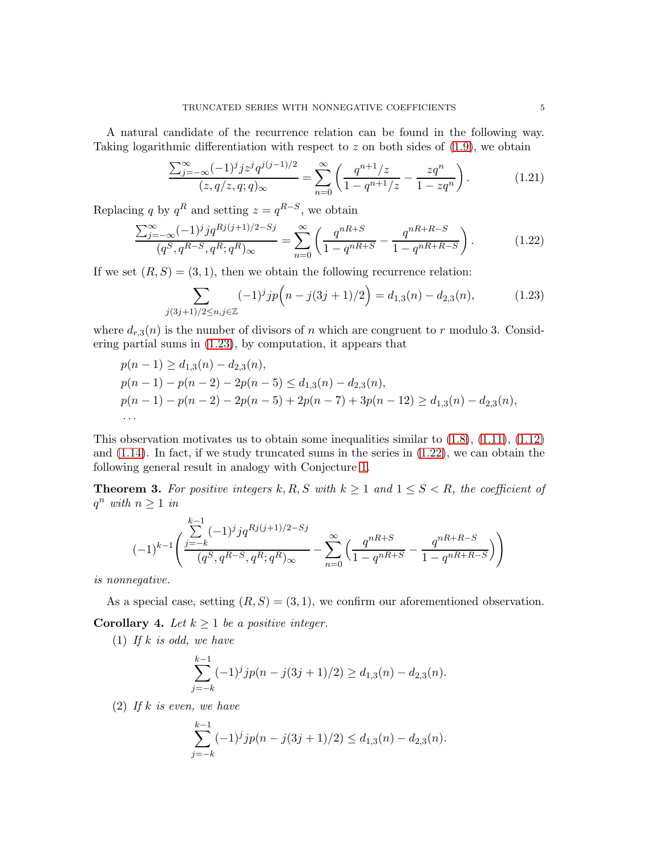A natural candidate of the recurrence relation can be found in the following way. Taking logarithmic differentiation with respect to z on both sides of  $(1.9)$ , we obtain

<span id="page-4-1"></span>
$$
\frac{\sum_{j=-\infty}^{\infty} (-1)^j j z^j q^{j(j-1)/2}}{(z, q/z, q; q)_{\infty}} = \sum_{n=0}^{\infty} \left( \frac{q^{n+1}/z}{1 - q^{n+1}/z} - \frac{z q^n}{1 - z q^n} \right).
$$
 (1.21)

Replacing q by  $q^R$  and setting  $z = q^{R-S}$ , we obtain

$$
\frac{\sum_{j=-\infty}^{\infty} (-1)^j j q^{Rj(j+1)/2-Sj}}{(q^S, q^{R-S}, q^R; q^R)_{\infty}} = \sum_{n=0}^{\infty} \left( \frac{q^{nR+S}}{1 - q^{nR+S}} - \frac{q^{nR+R-S}}{1 - q^{nR+R-S}} \right).
$$
(1.22)

If we set  $(R, S) = (3, 1)$ , then we obtain the following recurrence relation:

<span id="page-4-0"></span>
$$
\sum_{j(3j+1)/2 \le n, j \in \mathbb{Z}} (-1)^j j p\left(n - j(3j+1)/2\right) = d_{1,3}(n) - d_{2,3}(n),\tag{1.23}
$$

where  $d_{r,3}(n)$  is the number of divisors of n which are congruent to r modulo 3. Considering partial sums in [\(1.23\)](#page-4-0), by computation, it appears that

$$
p(n-1) \ge d_{1,3}(n) - d_{2,3}(n),
$$
  
\n
$$
p(n-1) - p(n-2) - 2p(n-5) \le d_{1,3}(n) - d_{2,3}(n),
$$
  
\n
$$
p(n-1) - p(n-2) - 2p(n-5) + 2p(n-7) + 3p(n-12) \ge d_{1,3}(n) - d_{2,3}(n),
$$
  
\n...

This observation motivates us to obtain some inequalities similar to  $(1.8)$ ,  $(1.11)$ ,  $(1.12)$ and  $(1.14)$ . In fact, if we study truncated sums in the series in  $(1.22)$ , we can obtain the following general result in analogy with Conjecture [1.](#page-1-4)

<span id="page-4-2"></span>**Theorem 3.** For positive integers k, R, S with  $k \geq 1$  and  $1 \leq S \leq R$ , the coefficient of  $q^n$  with  $n \geq 1$  in

$$
(-1)^{k-1} \left( \frac{\sum\limits_{j=-k}^{k-1} (-1)^j j q^{Rj(j+1)/2-Sj}}{(q^S, q^{R-S}, q^R; q^R)_{\infty}} - \sum\limits_{n=0}^{\infty} \left( \frac{q^{nR+S}}{1-q^{nR+S}} - \frac{q^{nR+R-S}}{1-q^{nR+R-S}} \right) \right)
$$

is nonnegative.

As a special case, setting  $(R, S) = (3, 1)$ , we confirm our aforementioned observation. Corollary 4. Let  $k \geq 1$  be a positive integer.

(1) If k is odd, we have

$$
\sum_{j=-k}^{k-1} (-1)^j j p(n - j(3j + 1)/2) \ge d_{1,3}(n) - d_{2,3}(n).
$$

 $(2)$  If k is even, we have

$$
\sum_{j=-k}^{k-1} (-1)^j j p(n - j(3j + 1)/2) \le d_{1,3}(n) - d_{2,3}(n).
$$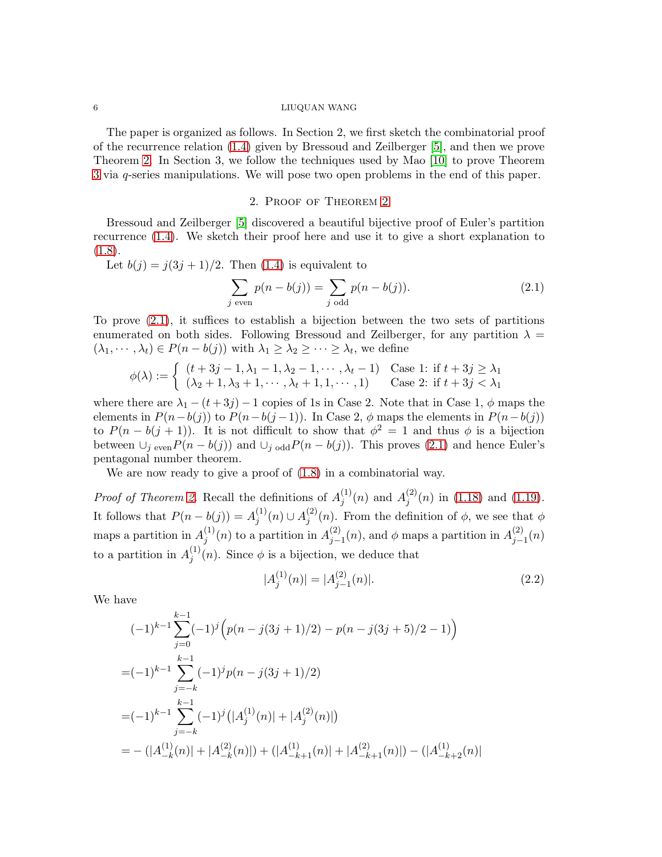#### 6 LIUQUAN WANG

The paper is organized as follows. In Section 2, we first sketch the combinatorial proof of the recurrence relation [\(1.4\)](#page-0-2) given by Bressoud and Zeilberger [\[5\]](#page-10-10), and then we prove Theorem [2.](#page-3-1) In Section 3, we follow the techniques used by Mao [\[10\]](#page-10-4) to prove Theorem [3](#page-4-2) via q-series manipulations. We will pose two open problems in the end of this paper.

# <span id="page-5-0"></span>2. Proof of Theorem [2](#page-3-1)

Bressoud and Zeilberger [\[5\]](#page-10-10) discovered a beautiful bijective proof of Euler's partition recurrence [\(1.4\)](#page-0-2). We sketch their proof here and use it to give a short explanation to  $(1.8).$  $(1.8).$ 

Let  $b(j) = j(3j + 1)/2$ . Then [\(1.4\)](#page-0-2) is equivalent to

$$
\sum_{j \text{ even}} p(n - b(j)) = \sum_{j \text{ odd}} p(n - b(j)).
$$
\n(2.1)

To prove [\(2.1\)](#page-5-0), it suffices to establish a bijection between the two sets of partitions enumerated on both sides. Following Bressoud and Zeilberger, for any partition  $\lambda =$  $(\lambda_1, \dots, \lambda_t) \in P(n - b(j))$  with  $\lambda_1 \geq \lambda_2 \geq \dots \geq \lambda_t$ , we define

$$
\phi(\lambda) := \begin{cases} (t+3j-1,\lambda_1-1,\lambda_2-1,\cdots,\lambda_t-1) & \text{Case 1: if } t+3j \ge \lambda_1 \\ (\lambda_2+1,\lambda_3+1,\cdots,\lambda_t+1,1,\cdots,1) & \text{Case 2: if } t+3j < \lambda_1 \end{cases}
$$

where there are  $\lambda_1 - (t + 3j) - 1$  copies of 1s in Case 2. Note that in Case 1,  $\phi$  maps the elements in  $P(n-b(j))$  to  $P(n-b(j-1))$ . In Case 2,  $\phi$  maps the elements in  $P(n-b(j))$ to  $P(n - b(j + 1))$ . It is not difficult to show that  $\phi^2 = 1$  and thus  $\phi$  is a bijection between  $\bigcup_{j \text{ even}} P(n - b(j))$  and  $\bigcup_{j \text{ odd}} P(n - b(j))$ . This proves [\(2.1\)](#page-5-0) and hence Euler's pentagonal number theorem.

We are now ready to give a proof of  $(1.8)$  in a combinatorial way.

*Proof of Theorem [2.](#page-3-1)* Recall the definitions of  $A_i^{(1)}$  $j^{(1)}(n)$  and  $A_j^{(2)}$  $j^{(2)}(n)$  in [\(1.18\)](#page-3-2) and [\(1.19\)](#page-3-3). It follows that  $P(n - b(j)) = A_i^{(1)}$  $j^{(1)}(n) \cup A_j^{(2)}$  $j^{(2)}(n)$ . From the definition of  $\phi$ , we see that  $\phi$ maps a partition in  $A_i^{(1)}$  $j^{(1)}(n)$  to a partition in  $A_{j-}^{(2)}$  $j_{j-1}(n)$ , and  $\phi$  maps a partition in  $A_{j-1}^{(2)}$  $j_{-1}^{(2)}(n)$ to a partition in  $A_i^{(1)}$  $j^{(1)}(n)$ . Since  $\phi$  is a bijection, we deduce that

$$
|A_j^{(1)}(n)| = |A_{j-1}^{(2)}(n)|.\t(2.2)
$$

We have

$$
(-1)^{k-1} \sum_{j=0}^{k-1} (-1)^j \left( p(n - j(3j + 1)/2) - p(n - j(3j + 5)/2 - 1) \right)
$$
  
= 
$$
(-1)^{k-1} \sum_{j=-k}^{k-1} (-1)^j p(n - j(3j + 1)/2)
$$
  
= 
$$
(-1)^{k-1} \sum_{j=-k}^{k-1} (-1)^j (|A_j^{(1)}(n)| + |A_j^{(2)}(n)|)
$$
  
= 
$$
- (|A_{-k}^{(1)}(n)| + |A_{-k}^{(2)}(n)|) + (|A_{-k+1}^{(1)}(n)| + |A_{-k+1}^{(2)}(n)|) - (|A_{-k+2}^{(1)}(n)|)
$$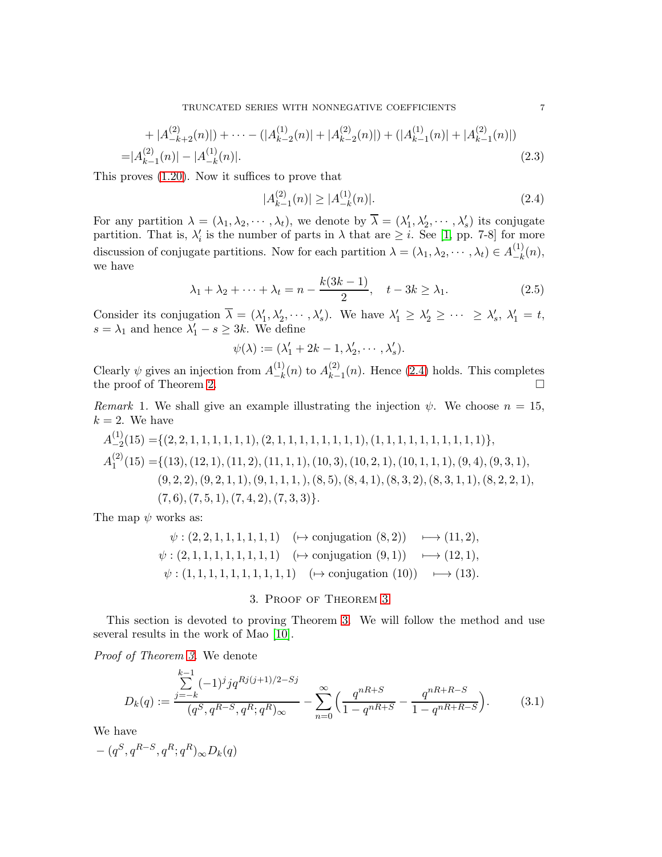TRUNCATED SERIES WITH NONNEGATIVE COEFFICIENTS **7** 

$$
+|A_{-k+2}^{(2)}(n)|)+\cdots-(|A_{k-2}^{(1)}(n)|+|A_{k-2}^{(2)}(n)|)+(|A_{k-1}^{(1)}(n)|+|A_{k-1}^{(2)}(n)|)
$$
  
=|A\_{k-1}^{(2)}(n)|-|A\_{-k}^{(1)}(n)|. (2.3)

This proves [\(1.20\)](#page-3-0). Now it suffices to prove that

<span id="page-6-0"></span>
$$
|A_{k-1}^{(2)}(n)| \ge |A_{-k}^{(1)}(n)|. \tag{2.4}
$$

For any partition  $\lambda = (\lambda_1, \lambda_2, \cdots, \lambda_t)$ , we denote by  $\overline{\lambda} = (\lambda'_1, \lambda'_2, \cdots, \lambda'_s)$  its conjugate partition. That is,  $\lambda'_i$  is the number of parts in  $\lambda$  that are  $\geq i$ . See [\[1,](#page-10-11) pp. 7-8] for more discussion of conjugate partitions. Now for each partition  $\lambda = (\lambda_1, \lambda_2, \cdots, \lambda_t) \in A_{-k}^{(1)}$  $\binom{1}{-k}(n),$ we have

$$
\lambda_1 + \lambda_2 + \dots + \lambda_t = n - \frac{k(3k - 1)}{2}, \quad t - 3k \ge \lambda_1. \tag{2.5}
$$

Consider its conjugation  $\overline{\lambda} = (\lambda'_1, \lambda'_2, \dots, \lambda'_s)$ . We have  $\lambda'_1 \geq \lambda'_2 \geq \dots \geq \lambda'_s$ ,  $\lambda'_1 = t$ ,  $s = \lambda_1$  and hence  $\lambda'_1 - s \geq 3k$ . We define

$$
\psi(\lambda) := (\lambda'_1 + 2k - 1, \lambda'_2, \cdots, \lambda'_s).
$$

Clearly  $\psi$  gives an injection from  $A_{-k}^{(1)}$  $\binom{1}{-k}(n)$  to  $A_{k-}^{(2)}$  $\binom{2}{k-1}(n)$ . Hence [\(2.4\)](#page-6-0) holds. This completes the proof of Theorem [2.](#page-3-1)

Remark 1. We shall give an example illustrating the injection  $\psi$ . We choose  $n = 15$ ,  $k = 2$ . We have

A (1) −2 (15) ={(2, 2, 1, 1, 1, 1, 1, 1),(2, 1, 1, 1, 1, 1, 1, 1, 1),(1, 1, 1, 1, 1, 1, 1, 1, 1, 1)}, A (2) 1 (15) ={(13),(12, 1),(11, 2),(11, 1, 1),(10, 3),(10, 2, 1),(10, 1, 1, 1),(9, 4),(9, 3, 1), (9, 2, 2),(9, 2, 1, 1),(9, 1, 1, 1,),(8, 5),(8, 4, 1),(8, 3, 2),(8, 3, 1, 1),(8, 2, 2, 1), (7, 6),(7, 5, 1),(7, 4, 2),(7, 3, 3)}.

The map  $\psi$  works as:

$$
\psi : (2, 2, 1, 1, 1, 1, 1, 1) \quad (\mapsto \text{conjugation } (8, 2)) \quad \longmapsto (11, 2),
$$
  

$$
\psi : (2, 1, 1, 1, 1, 1, 1, 1, 1) \quad (\mapsto \text{conjugation } (9, 1)) \quad \longmapsto (12, 1),
$$
  

$$
\psi : (1, 1, 1, 1, 1, 1, 1, 1, 1, 1) \quad (\mapsto \text{conjugation } (10)) \quad \longmapsto (13).
$$

# 3. Proof of Theorem [3](#page-4-2)

This section is devoted to proving Theorem [3.](#page-4-2) We will follow the method and use several results in the work of Mao [\[10\]](#page-10-4).

Proof of Theorem [3.](#page-4-2) We denote

$$
D_k(q) := \frac{\sum_{j=-k}^{k-1} (-1)^j j q^{Rj(j+1)/2-Sj}}{(q^S, q^{R-S}, q^R; q^R)_{\infty}} - \sum_{n=0}^{\infty} \left( \frac{q^{nR+S}}{1-q^{nR+S}} - \frac{q^{nR+R-S}}{1-q^{nR+R-S}} \right).
$$
(3.1)

We have

 $-(q^S, q^{R-S}, q^R; q^R)_{\infty}D_k(q)$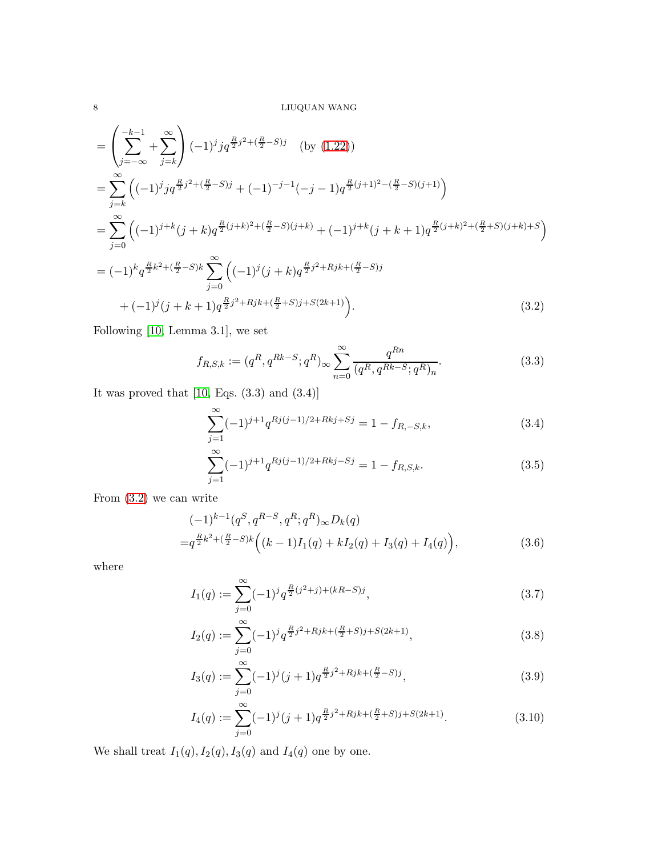$$
= \left(\sum_{j=-\infty}^{-k-1} + \sum_{j=k}^{\infty} \right) (-1)^j j q^{\frac{R}{2}j^2 + (\frac{R}{2} - S)j} \quad \text{(by (1.22))}
$$
  
\n
$$
= \sum_{j=k}^{\infty} \left( (-1)^j j q^{\frac{R}{2}j^2 + (\frac{R}{2} - S)j} + (-1)^{-j-1} (-j-1) q^{\frac{R}{2}(j+1)^2 - (\frac{R}{2} - S)(j+1)} \right)
$$
  
\n
$$
= \sum_{j=0}^{\infty} \left( (-1)^{j+k} (j+k) q^{\frac{R}{2}(j+k)^2 + (\frac{R}{2} - S)(j+k)} + (-1)^{j+k} (j+k+1) q^{\frac{R}{2}(j+k)^2 + (\frac{R}{2} + S)(j+k) + S} \right)
$$
  
\n
$$
= (-1)^k q^{\frac{R}{2}k^2 + (\frac{R}{2} - S)k} \sum_{j=0}^{\infty} \left( (-1)^j (j+k) q^{\frac{R}{2}j^2 + Rjk + (\frac{R}{2} - S)j} + (-1)^j (j+k+1) q^{\frac{R}{2}j^2 + Rjk + (\frac{R}{2} + S)j + S(2k+1)} \right).
$$
  
\n(3.2)

Following [\[10,](#page-10-4) Lemma 3.1], we set

<span id="page-7-0"></span>
$$
f_{R,S,k} := (q^R, q^{Rk-S}; q^R)_{\infty} \sum_{n=0}^{\infty} \frac{q^{Rn}}{(q^R, q^{Rk-S}; q^R)_n}.
$$
 (3.3)

It was proved that  $\left[10,\,\mathrm{Eqs.}\;(3.3)\;\mathrm{and}\;(3.4)\right]$ 

$$
\sum_{j=1}^{\infty} (-1)^{j+1} q^{Rj(j-1)/2 + Rkj + Sj} = 1 - f_{R, -S, k},
$$
\n(3.4)

<span id="page-7-3"></span><span id="page-7-2"></span>
$$
\sum_{j=1}^{\infty} (-1)^{j+1} q^{Rj(j-1)/2+Rkj-Sj} = 1 - f_{R,S,k}.
$$
\n(3.5)

From [\(3.2\)](#page-7-0) we can write

$$
(-1)^{k-1} (q^S, q^{R-S}, q^R; q^R)_{\infty} D_k(q)
$$
  
= $q^{\frac{R}{2}k^2 + (\frac{R}{2}-S)k} ((k-1)I_1(q) + kI_2(q) + I_3(q) + I_4(q)),$  (3.6)

where

<span id="page-7-1"></span>
$$
I_1(q) := \sum_{j=0}^{\infty} (-1)^j q^{\frac{R}{2}(j^2+j)+(kR-S)j},\tag{3.7}
$$

$$
I_2(q) := \sum_{j=0}^{\infty} (-1)^j q^{\frac{R}{2}j^2 + Rjk + (\frac{R}{2} + S)j + S(2k+1)},
$$
\n(3.8)

$$
I_3(q) := \sum_{j=0}^{\infty} (-1)^j (j+1) q^{\frac{R}{2}j^2 + Rjk + (\frac{R}{2} - S)j},
$$
\n(3.9)

$$
I_4(q) := \sum_{j=0}^{\infty} (-1)^j (j+1) q^{\frac{R}{2}j^2 + Rjk + (\frac{R}{2} + S)j + S(2k+1)}.
$$
 (3.10)

We shall treat  $I_1(q), I_2(q), I_3(q)$  and  $I_4(q)$  one by one.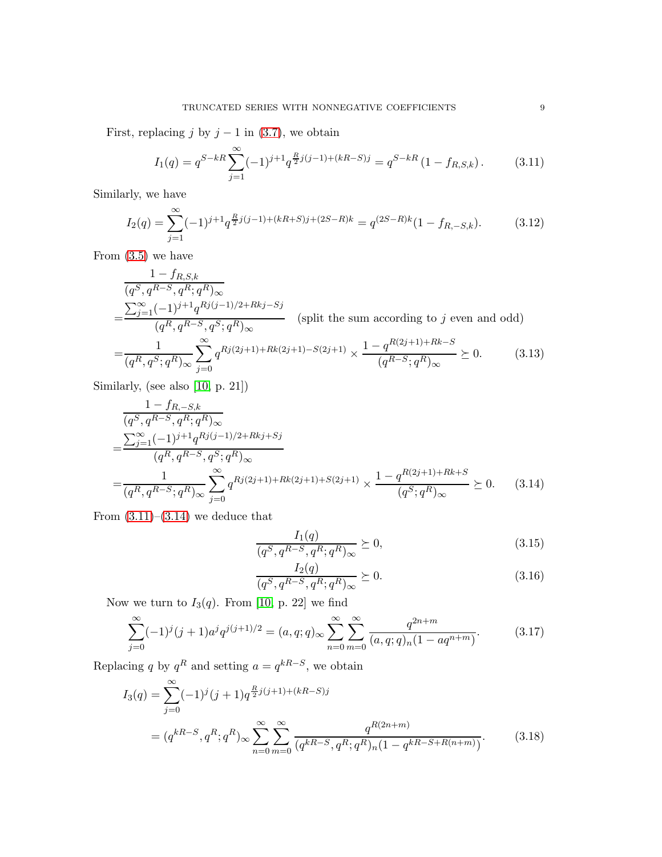First, replacing j by  $j - 1$  in [\(3.7\)](#page-7-1), we obtain

<span id="page-8-0"></span>
$$
I_1(q) = q^{S-kR} \sum_{j=1}^{\infty} (-1)^{j+1} q^{\frac{R}{2}j(j-1)+(kR-S)j} = q^{S-kR} (1 - f_{R,S,k}). \tag{3.11}
$$

Similarly, we have

$$
I_2(q) = \sum_{j=1}^{\infty} (-1)^{j+1} q^{\frac{R}{2}j(j-1)+(kR+S)j+(2S-R)k} = q^{(2S-R)k} (1 - f_{R,-S,k}).
$$
 (3.12)

From  $(3.5)$  we have

$$
\frac{1 - f_{R,S,k}}{(q^S, q^{R-S}, q^R; q^R)_{\infty}}\n= \frac{\sum_{j=1}^{\infty} (-1)^{j+1} q^{Rj(j-1)/2 + Rkj - Sj}}{(q^R, q^{R-S}, q^S; q^R)_{\infty}} \quad \text{(split the sum according to } j \text{ even and odd)}\n= \frac{1}{(q^R, q^S; q^R)_{\infty}} \sum_{j=0}^{\infty} q^{Rj(2j+1) + Rk(2j+1) - S(2j+1)} \times \frac{1 - q^{R(2j+1) + Rk - S}}{(q^{R-S}; q^R)_{\infty}} \succeq 0. \quad (3.13)
$$

Similarly, (see also [\[10,](#page-10-4) p. 21])

$$
\frac{1 - f_{R,-S,k}}{(q^S, q^{R-S}, q^R; q^R)_{\infty}}\n= \frac{\sum_{j=1}^{\infty} (-1)^{j+1} q^{Rj(j-1)/2+Rkj+Sj}}{(q^R, q^{R-S}, q^S; q^R)_{\infty}}\n= \frac{1}{(q^R, q^{R-S}; q^R)_{\infty}} \sum_{j=0}^{\infty} q^{Rj(2j+1)+Rk(2j+1)+S(2j+1)} \times \frac{1 - q^{R(2j+1)+Rk+S}}{(q^S; q^R)_{\infty}} \succeq 0.
$$
\n(3.14)

From  $(3.11)$ – $(3.14)$  we deduce that

<span id="page-8-3"></span><span id="page-8-1"></span>
$$
\frac{I_1(q)}{(q^S, q^{R-S}, q^R; q^R)_{\infty}} \succeq 0,
$$
\n(3.15)

<span id="page-8-4"></span><span id="page-8-2"></span>
$$
\frac{I_2(q)}{(q^S, q^{R-S}, q^R; q^R)_{\infty}} \succeq 0.
$$
\n(3.16)

Now we turn to  $I_3(q)$ . From [\[10,](#page-10-4) p. 22] we find

$$
\sum_{j=0}^{\infty} (-1)^j (j+1)a^j q^{j(j+1)/2} = (a, q; q)_{\infty} \sum_{n=0}^{\infty} \sum_{m=0}^{\infty} \frac{q^{2n+m}}{(a, q; q)_n (1 - aq^{n+m})}.
$$
 (3.17)

Replacing q by  $q^R$  and setting  $a = q^{kR-S}$ , we obtain

$$
I_3(q) = \sum_{j=0}^{\infty} (-1)^j (j+1) q^{\frac{R}{2}j(j+1)+(kR-S)j}
$$
  
=  $(q^{kR-S}, q^R; q^R)_{\infty} \sum_{n=0}^{\infty} \sum_{m=0}^{\infty} \frac{q^{R(2n+m)}}{(q^{kR-S}, q^R; q^R)_n (1-q^{kR-S+R(n+m)})}.$  (3.18)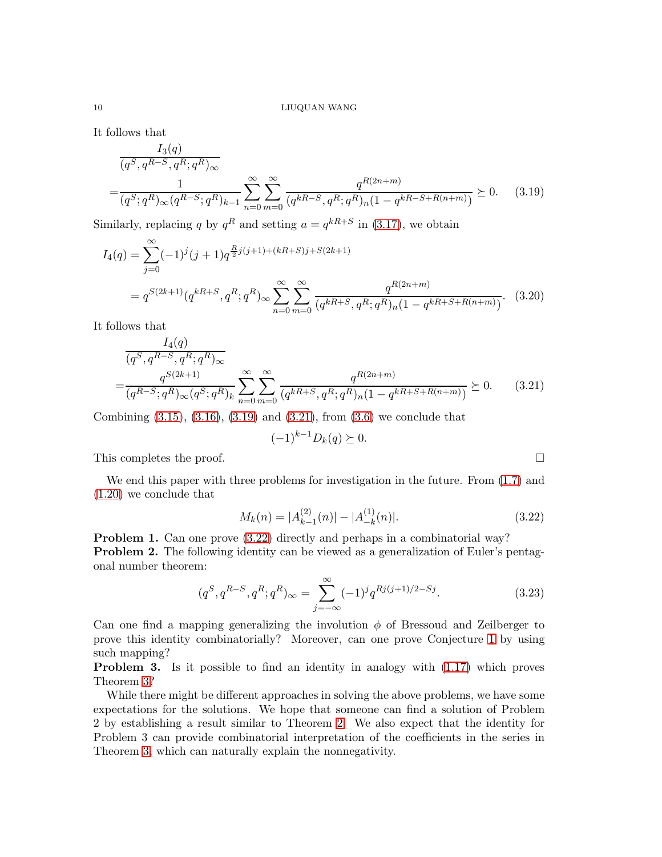It follows that

$$
\frac{I_3(q)}{(q^S, q^{R-S}, q^R; q^R)_{\infty}}\n= \frac{1}{(q^S; q^R)_{\infty} (q^{R-S}; q^R)_{k-1}} \sum_{n=0}^{\infty} \sum_{m=0}^{\infty} \frac{q^{R(2n+m)}}{(q^{kR-S}, q^R; q^R)_n (1 - q^{kR-S+R(n+m)})} \succeq 0.
$$
 (3.19)

Similarly, replacing q by  $q^R$  and setting  $a = q^{kR+S}$  in [\(3.17\)](#page-8-2), we obtain

$$
I_4(q) = \sum_{j=0}^{\infty} (-1)^j (j+1) q^{\frac{R}{2}j(j+1)+(kR+S)j+S(2k+1)}
$$
  
=  $q^{S(2k+1)} (q^{kR+S}, q^R; q^R)_{\infty} \sum_{n=0}^{\infty} \sum_{m=0}^{\infty} \frac{q^{R(2n+m)}}{(q^{kR+S}, q^R; q^R)_n (1-q^{kR+S+R(n+m)})}$ . (3.20)

It follows that

$$
\frac{I_4(q)}{(q^S, q^{R-S}, q^R; q^R)_{\infty}}
$$
\n
$$
= \frac{q^{S(2k+1)}}{(q^{R-S}; q^R)_{\infty}(q^S; q^R)_k} \sum_{n=0}^{\infty} \sum_{m=0}^{\infty} \frac{q^{R(2n+m)}}{(q^{kR+S}, q^R; q^R)_n (1 - q^{kR+S+R(n+m)})} \succeq 0.
$$
\n(3.21)

Combining  $(3.15)$ ,  $(3.16)$ ,  $(3.19)$  and  $(3.21)$ , from  $(3.6)$  we conclude that

$$
(-1)^{k-1}D_k(q) \succeq 0.
$$

<span id="page-9-2"></span><span id="page-9-1"></span><span id="page-9-0"></span>

This completes the proof.  $\Box$ 

We end this paper with three problems for investigation in the future. From [\(1.7\)](#page-1-0) and [\(1.20\)](#page-3-0) we conclude that

$$
M_k(n) = |A_{k-1}^{(2)}(n)| - |A_{-k}^{(1)}(n)|. \tag{3.22}
$$

Problem 1. Can one prove [\(3.22\)](#page-9-2) directly and perhaps in a combinatorial way? Problem 2. The following identity can be viewed as a generalization of Euler's pentagonal number theorem:

$$
(q^S, q^{R-S}, q^R; q^R)_{\infty} = \sum_{j=-\infty}^{\infty} (-1)^j q^{Rj(j+1)/2-Sj}.
$$
 (3.23)

Can one find a mapping generalizing the involution  $\phi$  of Bressoud and Zeilberger to prove this identity combinatorially? Moreover, can one prove Conjecture [1](#page-1-4) by using such mapping?

Problem 3. Is it possible to find an identity in analogy with [\(1.17\)](#page-3-4) which proves Theorem [3?](#page-4-2)

While there might be different approaches in solving the above problems, we have some expectations for the solutions. We hope that someone can find a solution of Problem 2 by establishing a result similar to Theorem [2.](#page-3-1) We also expect that the identity for Problem 3 can provide combinatorial interpretation of the coefficients in the series in Theorem [3,](#page-4-2) which can naturally explain the nonnegativity.